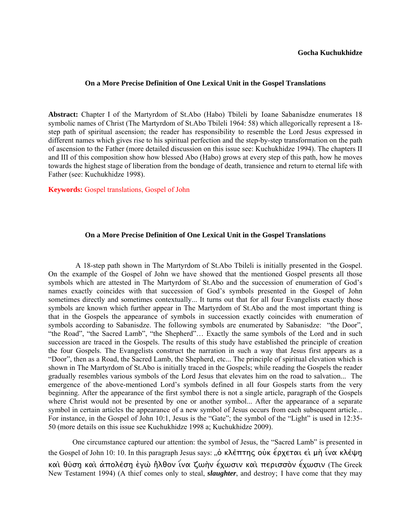## **On a More Precise Definition of One Lexical Unit in the Gospel Translations**

**Abstract:** Chapter I of the Martyrdom of St.Abo (Habo) Tbileli by Ioane Sabanisdze enumerates 18 symbolic names of Christ (The Martyrdom of St.Abo Tbileli 1964: 58) which allegorically represent a 18 step path of spiritual ascension; the reader has responsibility to resemble the Lord Jesus expressed in different names which gives rise to his spiritual perfection and the step-by-step transformation on the path of ascension to the Father (more detailed discussion on this issue see: Kuchukhidze 1994). The chapters II and III of this composition show how blessed Abo (Habo) grows at every step of this path, how he moves towards the highest stage of liberation from the bondage of death, transience and return to eternal life with Father (see: Kuchukhidze 1998).

**Keywords:** Gospel translations, Gospel of John

## **On a More Precise Definition of One Lexical Unit in the Gospel Translations**

A 18-step path shown in The Martyrdom of St.Abo Tbileli is initially presented in the Gospel. On the example of the Gospel of John we have showed that the mentioned Gospel presents all those symbols which are attested in The Martyrdom of St.Abo and the succession of enumeration of God's names exactly coincides with that succession of God's symbols presented in the Gospel of John sometimes directly and sometimes contextually... It turns out that for all four Evangelists exactly those symbols are known which further appear in The Martyrdom of St.Abo and the most important thing is that in the Gospels the appearance of symbols in succession exactly coincides with enumeration of symbols according to Sabanisdze. The following symbols are enumerated by Sabanisdze: "the Door", "the Road", "the Sacred Lamb", "the Shepherd"… Exactly the same symbols of the Lord and in such succession are traced in the Gospels. The results of this study have established the principle of creation the four Gospels. The Evangelists construct the narration in such a way that Jesus first appears as a "Door", then as a Road, the Sacred Lamb, the Shepherd, etc... The principle of spiritual elevation which is shown in The Martyrdom of St.Abo is initially traced in the Gospels; while reading the Gospels the reader gradually resembles various symbols of the Lord Jesus that elevates him on the road to salvation... The emergence of the above-mentioned Lord's symbols defined in all four Gospels starts from the very beginning. After the appearance of the first symbol there is not a single article, paragraph of the Gospels where Christ would not be presented by one or another symbol... After the appearance of a separate symbol in certain articles the appearance of a new symbol of Jesus occurs from each subsequent article... For instance, in the Gospel of John 10:1, Jesus is the "Gate"; the symbol of the "Light" is used in 12:35-50 (more details on this issue see Kuchukhidze 1998 a; Kuchukhidze 2009).

One circumstance captured our attention: the symbol of Jesus, the "Sacred Lamb" is presented in the Gospel of John 10: 10. In this paragraph Jesus says: "ὁ κλέπτης οὐκ έρχεται εἰ μὴ ἱνα κλέψη καὶ θύση̨ καὶ ἀπολέση̨ ἐγὼ ἠ̃λθον ἵνα ζωὴν ἔχωσιν καὶ περισσòν ἔχωσιν (The Greek New Testament 1994) (A thief comes only to steal, *slaughter*, and destroy; I have come that they may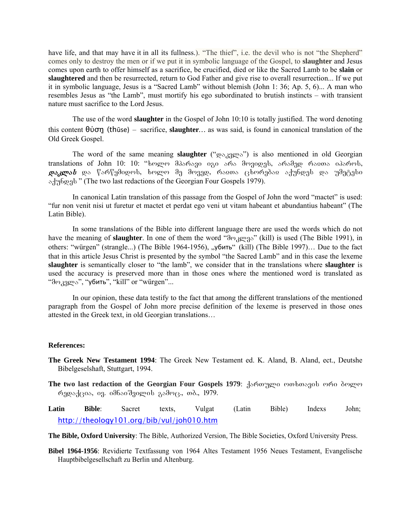have life, and that may have it in all its fullness.). "The thief", i.e. the devil who is not "the Shepherd" comes only to destroy the men or if we put it in symbolic language of the Gospel, to **slaughter** and Jesus comes upon earth to offer himself as a sacrifice, be crucified, died or like the Sacred Lamb to be **slain** or **slaughtered** and then be resurrected, return to God Father and give rise to overall resurrection... If we put it in symbolic language, Jesus is a "Sacred Lamb" without blemish (John 1: 36; Ap. 5, 6)... A man who resembles Jesus as "the Lamb", must mortify his ego subordinated to brutish instincts – with transient nature must sacrifice to the Lord Jesus.

The use of the word **slaughter** in the Gospel of John 10:10 is totally justified. The word denoting this content θύση̨ (thūse) – sacrifice, **slaughter***…* as was said, is found in canonical translation of the Old Greek Gospel.

The word of the same meaning **slaughter** (" $\cos_{\theta}$ g meaning") is also mentioned in old Georgian translations of John 10: 10: "ხოლო მპარავი იგი არა მოვიდეს, არამედ რაჲთა იპაროს,  $\boldsymbol{\varrho}$ ა სამწყმიდოს, სოლო მე მოვედ, რაჲთა ცხორებაჲ აქუნდეს და უმეტესი odybeeds " (The two last redactions of the Georgian Four Gospels 1979).

In canonical Latin translation of this passage from the Gospel of John the word "mactet" is used: "fur non venit nisi ut furetur et mactet et perdat ego veni ut vitam habeant et abundantius habeant" (The Latin Bible).

In some translations of the Bible into different language there are used the words which do not have the meaning of **slaughter**. In one of them the word "do graps" (kill) is used (The Bible 1991), in others: "würgen" (strangle...) (The Bible 1964-1956), "убить" (kill) (The Bible 1997)... Due to the fact that in this article Jesus Christ is presented by the symbol "the Sacred Lamb" and in this case the lexeme **slaughter** is semantically closer to "the lamb", we consider that in the translations where **slaughter** is used the accuracy is preserved more than in those ones where the mentioned word is translated as "dოკვლა", "убить", "kill" or "würgen"...

In our opinion, these data testify to the fact that among the different translations of the mentioned paragraph from the Gospel of John more precise definition of the lexeme is preserved in those ones attested in the Greek text, in old Georgian translations…

## **References:**

- **The Greek New Testament 1994**: The Greek New Testament ed. K. Aland, B. Aland, ect., Deutshe Bibelgeselshaft, Stuttgart, 1994.
- The two last redaction of the Georgian Four Gospels 1979: domageo mobosaol moo deman  $\kappa$ 1979. ga. odbood3000 asdee., ob., 1979.
- **Latin Bible**: Sacret texts, Vulgat (Latin Bible) Indexs John; http://theology101.org/bib/vul/joh010.htm
- **The Bible, Oxford University**: The Bible, Authorized Version, The Bible Societies, Oxford University Press.
- **Bibel 1964-1956**: Revidierte Textfassung von 1964 Altes Testament 1956 Neues Testament, Evangelische Hauptbibelgesellschaft zu Berlin und Altenburg.